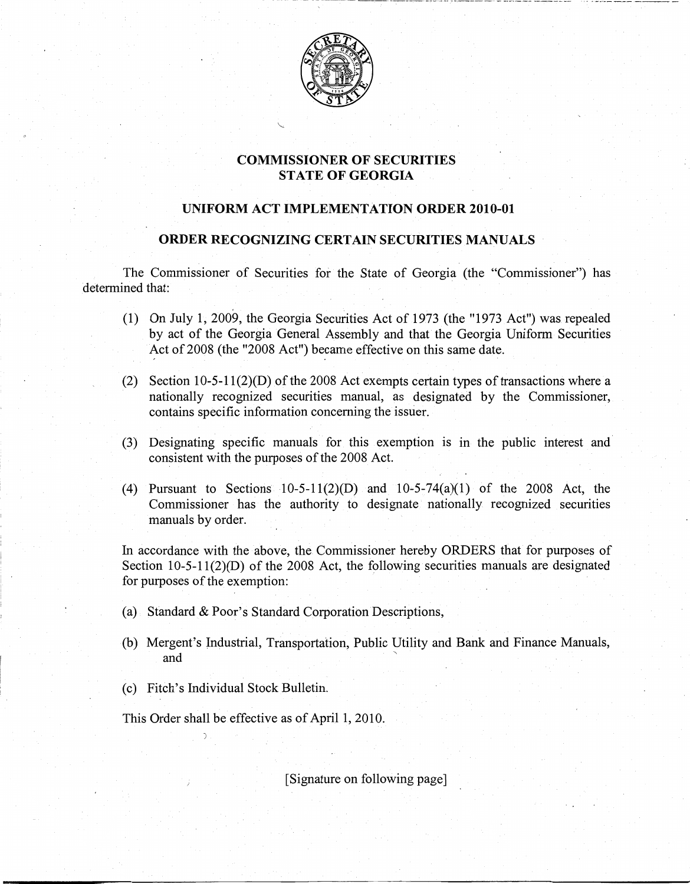

- -------------~....\_-------- .. \_-\_.. ------ -" .--------

## **COMMISSIONER OF SECURITIES STATE OF GEORGIA**

### **UNIFORM ACT IMPLEMENTATION ORDER 2010-01**

#### **ORDER RECOGNIZING CERTAIN SECURITIES MANUALS**

The Commissioner of Securities for the State of Georgia (the "Commissioner") has determined that:

- (1) On July 1, 2009, the Georgia Securities Act of 1973 (the "1973 Act") was repealed by act of the Georgia General Assembly and that the Georgia Uniform Securities Act of 2008 (the "2008 Act") became effective on this same date.
- (2) Section  $10-5-11(2)(D)$  of the 2008 Act exempts certain types of transactions where a nationally recognized securities manual, as designated by the Commissioner, contains specific information concerning the issuer.
- (3) Designating specific manuals for this exemption is in the public interest and consistent with the purposes of the 2008 Act.
- (4) Pursuant to Sections  $10-5-11(2)(D)$  and  $10-5-74(a)(1)$  of the 2008 Act, the Commissioner has the authority to designate' nationally recognized securities manuals by order.

In accordance with the above, the Commissioner hereby ORDERS that for purposes of Section 10-5-11(2)(D) of the 2008 Act, the following securities manuals are designated for purposes of the exemption:

- (a) Standard & Poor's Standard Corporation Descriptions,
- (b) Mergent's Industrial, Transportation, Public Utility and Bank and Finance Manuals, and
- (c) Fitch's Individual Stock Bulletin.

This Order shall be effective as of April 1, 2010.

[Signature on following page]